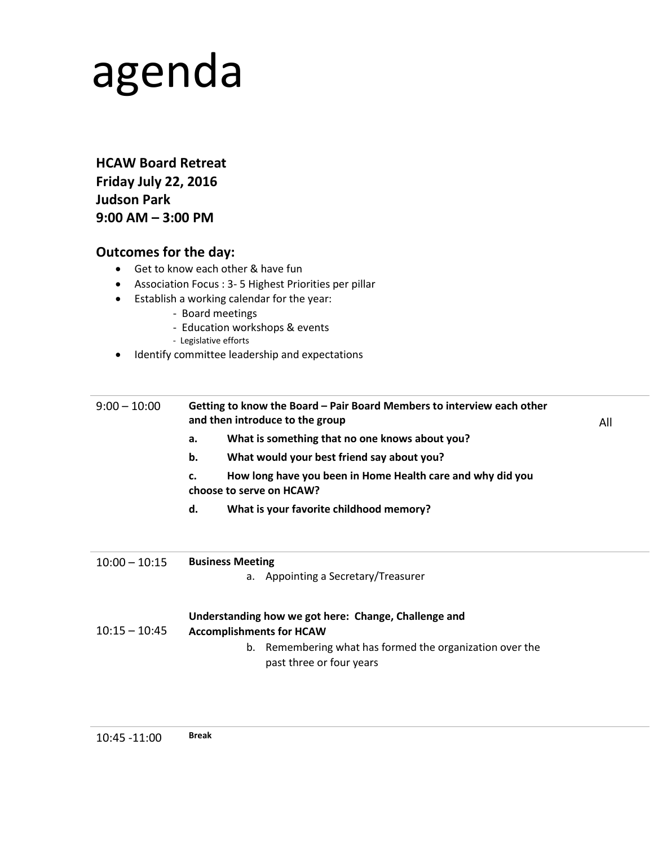# agenda

**HCAW Board Retreat Friday July 22, 2016 Judson Park 9:00 AM – 3:00 PM**

## **Outcomes for the day:**

- Get to know each other & have fun
- Association Focus : 3- 5 Highest Priorities per pillar
- Establish a working calendar for the year:
	- Board meetings
	- Education workshops & events
	- Legislative efforts
- Identify committee leadership and expectations

| $9:00 - 10:00$  | Getting to know the Board - Pair Board Members to interview each other<br>and then introduce to the group                                                                       |  |  |
|-----------------|---------------------------------------------------------------------------------------------------------------------------------------------------------------------------------|--|--|
|                 | What is something that no one knows about you?<br>а.                                                                                                                            |  |  |
|                 | b.<br>What would your best friend say about you?                                                                                                                                |  |  |
|                 | How long have you been in Home Health care and why did you<br>c.<br>choose to serve on HCAW?                                                                                    |  |  |
|                 | d.<br>What is your favorite childhood memory?                                                                                                                                   |  |  |
| $10:00 - 10:15$ | <b>Business Meeting</b><br>a. Appointing a Secretary/Treasurer                                                                                                                  |  |  |
| $10:15 - 10:45$ | Understanding how we got here: Change, Challenge and<br><b>Accomplishments for HCAW</b><br>b. Remembering what has formed the organization over the<br>past three or four years |  |  |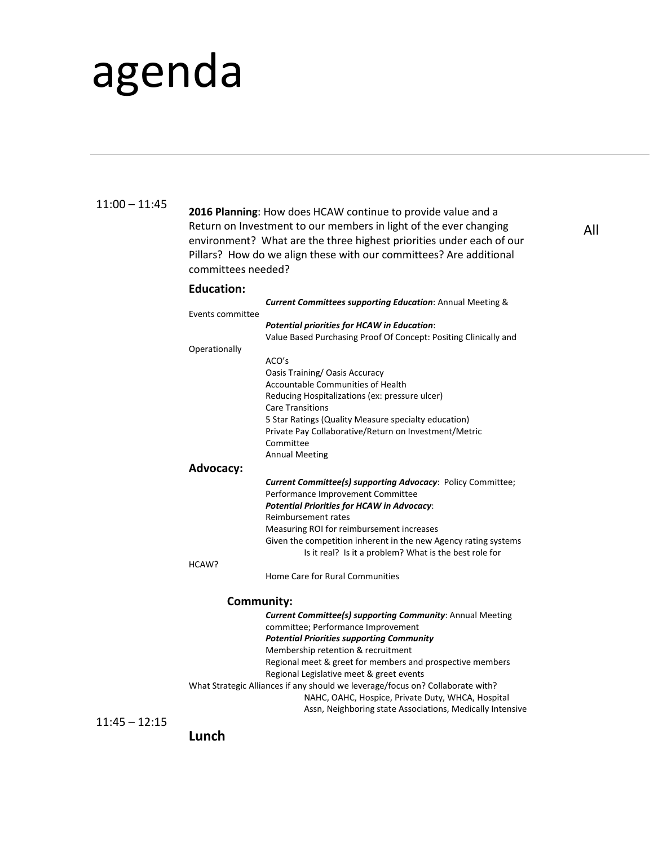# agenda

### 11:00 – 11:45

**2016 Planning**: How does HCAW continue to provide value and a Return on Investment to our members in light of the ever changing environment? What are the three highest priorities under each of our Pillars? How do we align these with our committees? Are additional committees needed? **Education:**  *Current Committees supporting Education*: Annual Meeting & Events committee *Potential priorities for HCAW in Education*: Value Based Purchasing Proof Of Concept: Positing Clinically and Operationally ACO's Oasis Training/ Oasis Accuracy Accountable Communities of Health Reducing Hospitalizations (ex: pressure ulcer) Care Transitions 5 Star Ratings (Quality Measure specialty education) Private Pay Collaborative/Return on Investment/Metric Committee Annual Meeting **Advocacy:** *Current Committee(s) supporting Advocacy*: Policy Committee; Performance Improvement Committee *Potential Priorities for HCAW in Advocacy*: Reimbursement rates Measuring ROI for reimbursement increases Given the competition inherent in the new Agency rating systems Is it real? Is it a problem? What is the best role for HCAW? Home Care for Rural Communities **Community:** *Current Committee(s) supporting Community*: Annual Meeting committee; Performance Improvement *Potential Priorities supporting Community* Membership retention & recruitment

Regional meet & greet for members and prospective members Regional Legislative meet & greet events

What Strategic Alliances if any should we leverage/focus on? Collaborate with? NAHC, OAHC, Hospice, Private Duty, WHCA, Hospital Assn, Neighboring state Associations, Medically Intensive

11:45 – 12:15

**Lunch**

All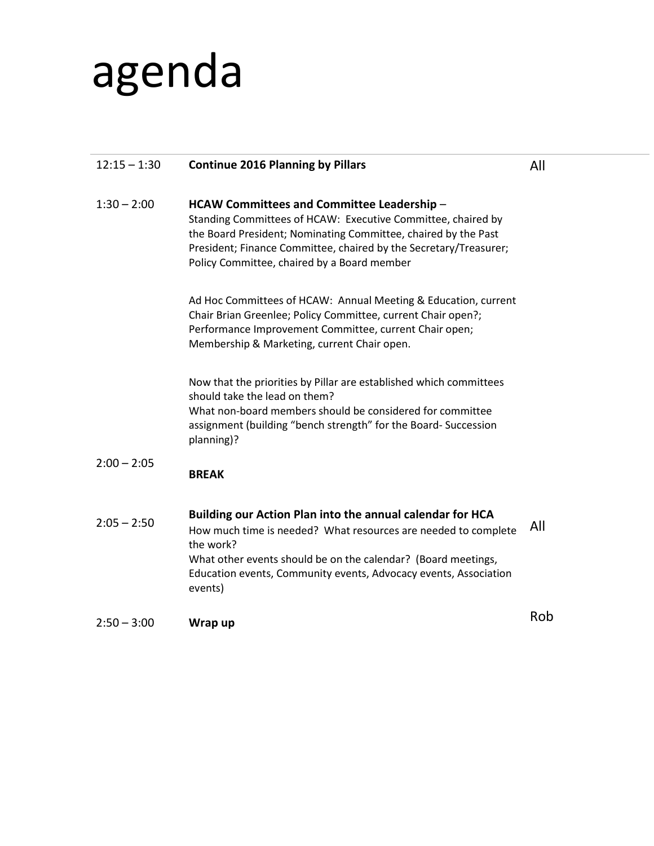# agenda

## 12:15 – 1:30  $1:30 - 2:00$  $2:00 - 2:05$  $2:05 - 2:50$  $2:50 - 3:00$ **Continue 2016 Planning by Pillars HCAW Committees and Committee Leadership** – Standing Committees of HCAW: Executive Committee, chaired by the Board President; Nominating Committee, chaired by the Past President; Finance Committee, chaired by the Secretary/Treasurer; Policy Committee, chaired by a Board member Ad Hoc Committees of HCAW: Annual Meeting & Education, current Chair Brian Greenlee; Policy Committee, current Chair open?; Performance Improvement Committee, current Chair open; Membership & Marketing, current Chair open. Now that the priorities by Pillar are established which committees should take the lead on them? What non-board members should be considered for committee assignment (building "bench strength" for the Board- Succession planning)? **BREAK Building our Action Plan into the annual calendar for HCA** How much time is needed? What resources are needed to complete the work? What other events should be on the calendar? (Board meetings, Education events, Community events, Advocacy events, Association events) **Wrap up** All All Rob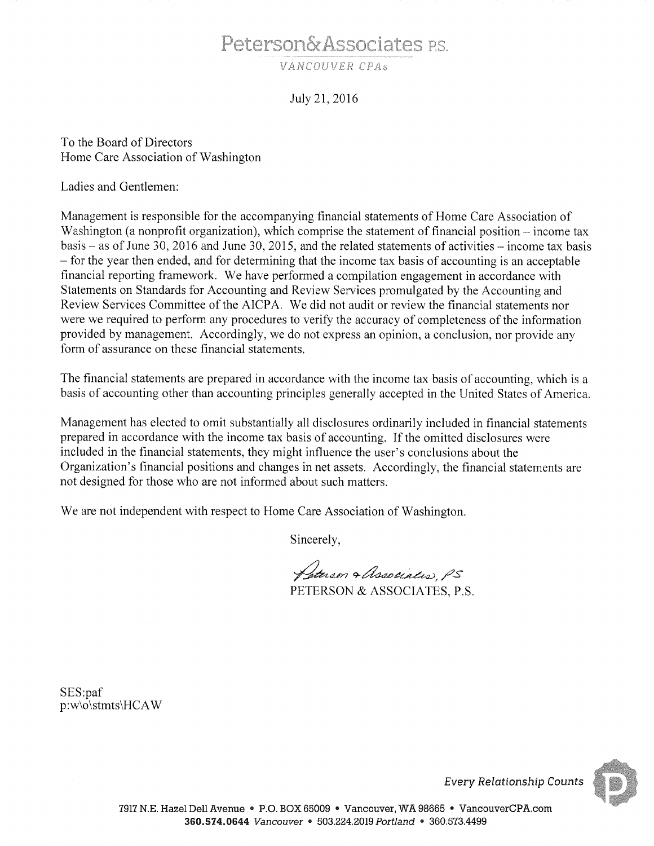# Peterson&Associates P.S.

VANCOUVER CPAS

#### July 21, 2016

To the Board of Directors Home Care Association of Washington

Ladies and Gentlemen:

Management is responsible for the accompanying financial statements of Home Care Association of Washington (a nonprofit organization), which comprise the statement of financial position – income tax basis – as of June 30, 2016 and June 30, 2015, and the related statements of activities – income tax basis - for the year then ended, and for determining that the income tax basis of accounting is an acceptable financial reporting framework. We have performed a compilation engagement in accordance with Statements on Standards for Accounting and Review Services promulgated by the Accounting and Review Services Committee of the AICPA. We did not audit or review the financial statements nor were we required to perform any procedures to verify the accuracy of completeness of the information provided by management. Accordingly, we do not express an opinion, a conclusion, nor provide any form of assurance on these financial statements.

The financial statements are prepared in accordance with the income tax basis of accounting, which is a basis of accounting other than accounting principles generally accepted in the United States of America.

Management has elected to omit substantially all disclosures ordinarily included in financial statements prepared in accordance with the income tax basis of accounting. If the omitted disclosures were included in the financial statements, they might influence the user's conclusions about the Organization's financial positions and changes in net assets. Accordingly, the financial statements are not designed for those who are not informed about such matters.

We are not independent with respect to Home Care Association of Washington.

Sincerely,

Peterson & Association PS PETERSON & ASSOCIATES P.S.

SES:paf p:w\o\stmts\HCAW

**Every Relationship Counts**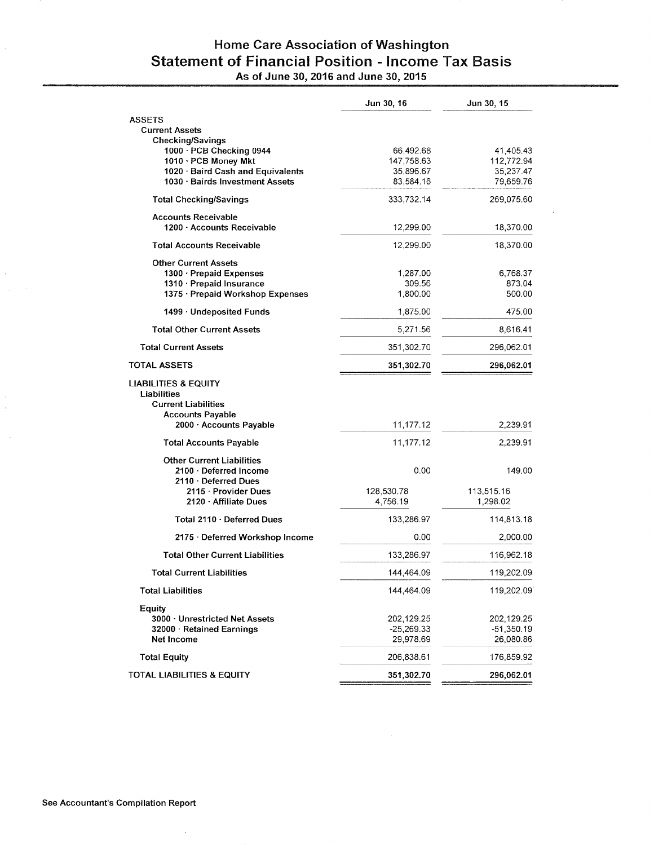### Home Care Association of Washington **Statement of Financial Position - Income Tax Basis** As of June 30, 2016 and June 30, 2015

|                                                                              | Jun 30, 16         | Jun 30, 15       |
|------------------------------------------------------------------------------|--------------------|------------------|
| <b>ASSETS</b>                                                                |                    |                  |
| <b>Current Assets</b>                                                        |                    |                  |
| <b>Checking/Savings</b><br>1000 · PCB Checking 0944                          | 66,492.68          | 41,405.43        |
| 1010 · PCB Money Mkt                                                         | 147,758.63         | 112,772.94       |
| 1020 · Baird Cash and Equivalents                                            | 35,896.67          | 35,237.47        |
| 1030 · Bairds Investment Assets                                              | 83,584.16          | 79,659.76        |
| <b>Total Checking/Savings</b>                                                | 333,732.14         | 269,075.60       |
| <b>Accounts Receivable</b>                                                   |                    |                  |
| 1200 · Accounts Receivable                                                   | 12,299.00          | 18,370.00        |
| <b>Total Accounts Receivable</b>                                             | 12,299.00          | 18,370.00        |
| <b>Other Current Assets</b>                                                  |                    |                  |
| 1300 · Prepaid Expenses                                                      | 1,287.00           | 6,768.37         |
| 1310 · Prepaid Insurance<br>1375 · Prepaid Workshop Expenses                 | 309.56<br>1,800.00 | 873.04<br>500.00 |
|                                                                              |                    |                  |
| 1499 · Undeposited Funds                                                     | 1,875.00           | 475.00           |
| <b>Total Other Current Assets</b>                                            | 5,271.56           | 8,616.41         |
| Total Current Assets                                                         | 351,302.70         | 296,062.01       |
| <b>TOTAL ASSETS</b>                                                          | 351,302.70         | 296,062.01       |
| <b>LIABILITIES &amp; EQUITY</b><br>Liabilities<br><b>Current Liabilities</b> |                    |                  |
| <b>Accounts Payable</b><br>2000 Accounts Payable                             | 11,177.12          | 2,239.91         |
| <b>Total Accounts Payable</b>                                                | 11,177.12          | 2,239.91         |
| <b>Other Current Liabilities</b>                                             |                    |                  |
| 2100 · Deferred Income<br>2110 Deferred Dues                                 | 0.00               | 149.00           |
| 2115 · Provider Dues                                                         | 128,530.78         | 113,515.16       |
| $2120 \cdot$ Affiliate Dues                                                  | 4,756.19           | 1,298.02         |
| Total 2110 · Deferred Dues                                                   | 133,286.97         | 114,813.18       |
| 2175 · Deferred Workshop Income                                              | 0.00               | 2,000.00         |
| <b>Total Other Current Liabilities</b>                                       | 133,286.97         | 116,962.18       |
| Total Current Liabilities                                                    | 144,464.09         | 119,202.09       |
| <b>Total Liabilities</b>                                                     | 144,464.09         | 119,202.09       |
| Equity                                                                       |                    |                  |
| 3000 Unrestricted Net Assets                                                 | 202,129.25         | 202,129.25       |
| 32000 · Retained Earnings                                                    | $-25,269.33$       | $-51,350.19$     |
| Net Income                                                                   | 29,978.69          | 26,080.86        |
| <b>Total Equity</b>                                                          | 206,838.61         | 176,859.92       |
| TOTAL LIABILITIES & EQUITY                                                   | 351,302.70         | 296,062.01       |
|                                                                              |                    |                  |

 $\bar{.}$ 

 $\overline{\phantom{a}}$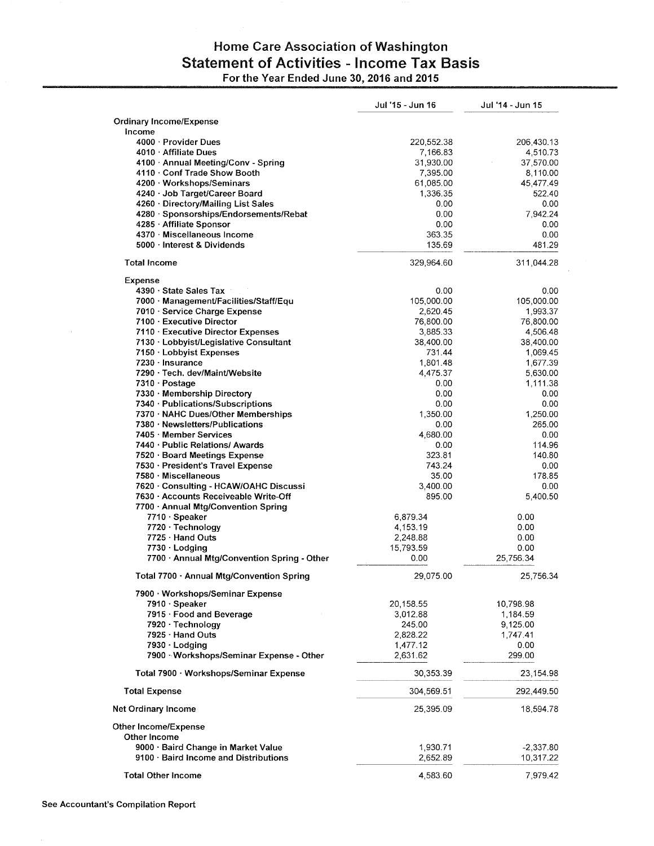## Home Care Association of Washington **Statement of Activities - Income Tax Basis** For the Year Ended June 30, 2016 and 2015

|                                                                                 | Jul '15 - Jun 16      | Jul '14 - Jun 15         |
|---------------------------------------------------------------------------------|-----------------------|--------------------------|
| <b>Ordinary Income/Expense</b>                                                  |                       |                          |
| Income                                                                          |                       |                          |
| 4000 · Provider Dues                                                            | 220,552.38            | 206,430.13               |
| 4010 · Affiliate Dues<br>4100 · Annual Meeting/Conv - Spring                    | 7,166.83<br>31,930.00 | 4,510.73<br>37,570.00    |
| 4110 · Conf Trade Show Booth                                                    | 7,395.00              | 8,110.00                 |
| 4200 · Workshops/Seminars                                                       | 61,085.00             | 45,477.49                |
| 4240 · Job Target/Career Board                                                  | 1,336.35              | 522.40                   |
| 4260 · Directory/Mailing List Sales                                             | 0.00                  | 0.00                     |
| 4280 · Sponsorships/Endorsements/Rebat                                          | 0.00                  | 7,942.24                 |
| 4285 Affiliate Sponsor<br>4370 Miscellaneous Income                             | 0.00<br>363.35        | 0.00<br>0.00             |
| 5000 · Interest & Dividends                                                     | 135.69                | 481.29                   |
| <b>Total Income</b>                                                             | 329,964.60            | 311,044.28               |
| Expense                                                                         |                       |                          |
| 4390 · State Sales Tax                                                          | 0.00                  | 0.00                     |
| 7000 Management/Facilities/Staff/Equ                                            | 105,000.00            | 105,000.00               |
| 7010 · Service Charge Expense                                                   | 2,620.45              | 1,993.37                 |
| 7100 · Executive Director                                                       | 76,800.00             | 76,800.00                |
| 7110 Executive Director Expenses<br>7130 · Lobbyist/Legislative Consultant      | 3,885.33<br>38,400.00 | 4,506.48<br>38,400.00    |
| 7150 Lobbyist Expenses                                                          | 731.44                | 1.069.45                 |
| 7230 - Insurance                                                                | 1,801.48              | 1,677.39                 |
| 7290 · Tech. dev/Maint/Website                                                  | 4,475.37              | 5,630.00                 |
| 7310 Postage                                                                    | 0.00                  | 1,111.38                 |
| 7330 · Membership Directory                                                     | 0.00                  | 0.00                     |
| 7340 · Publications/Subscriptions<br>7370 · NAHC Dues/Other Memberships         | 0.00<br>1,350.00      | 0.00<br>1,250.00         |
| 7380 Newsletters/Publications                                                   | 0.00                  | 265.00                   |
| 7405 Member Services                                                            | 4,680.00              | 0.00                     |
| 7440 · Public Relations/ Awards                                                 | 0.00                  | 114.96                   |
| 7520 · Board Meetings Expense                                                   | 323.81                | 140.80                   |
| 7530 · President's Travel Expense                                               | 743.24                | 0.00                     |
| 7580 · Miscellaneous                                                            | 35.00                 | 178.85                   |
| 7620 · Consulting - HCAW/OAHC Discussi<br>7630 - Accounts Receiveable Write-Off | 3,400.00<br>895.00    | 0.00<br>5,400.50         |
| 7700 · Annual Mtg/Convention Spring                                             |                       |                          |
| 7710 · Speaker                                                                  | 6,879.34              | 0.00                     |
| 7720 · Technology                                                               | 4,153.19              | 0.00                     |
| 7725 · Hand Outs                                                                | 2,248.88              | 0.00                     |
| 7730 Lodging                                                                    | 15,793.59             | 0.00                     |
| 7700 · Annual Mtg/Convention Spring - Other                                     | 0.00                  | 25,756.34                |
| Total 7700 - Annual Mtg/Convention Spring                                       | 29,075.00             | 25,756.34                |
| 7900 · Workshops/Seminar Expense                                                |                       |                          |
| 7910 · Speaker<br>7915 · Food and Beverage                                      | 20,158.55<br>3,012.88 | 10,798.98<br>1,184.59    |
| 7920 · Technology                                                               | 245.00                | 9,125.00                 |
| 7925 · Hand Outs                                                                | 2,828.22              | 1,747.41                 |
| 7930 · Lodging                                                                  | 1,477.12              | 0.00                     |
| 7900 Workshops/Seminar Expense - Other                                          | 2,631.62              | 299.00                   |
| Total 7900 · Workshops/Seminar Expense                                          | 30,353.39             | 23,154.98                |
| <b>Total Expense</b>                                                            | 304,569.51            | 292,449.50               |
| Net Ordinary Income                                                             | 25,395.09             | 18,594.78                |
| Other Income/Expense                                                            |                       |                          |
| Other Income                                                                    |                       |                          |
| 9000 · Baird Change in Market Value<br>9100 · Baird Income and Distributions    | 1,930.71<br>2,652.89  | $-2,337.80$<br>10,317.22 |
|                                                                                 |                       |                          |
| <b>Total Other Income</b>                                                       | 4,583.60              | 7,979.42                 |

 $\bar{z}$ 

 $\bar{\beta}$